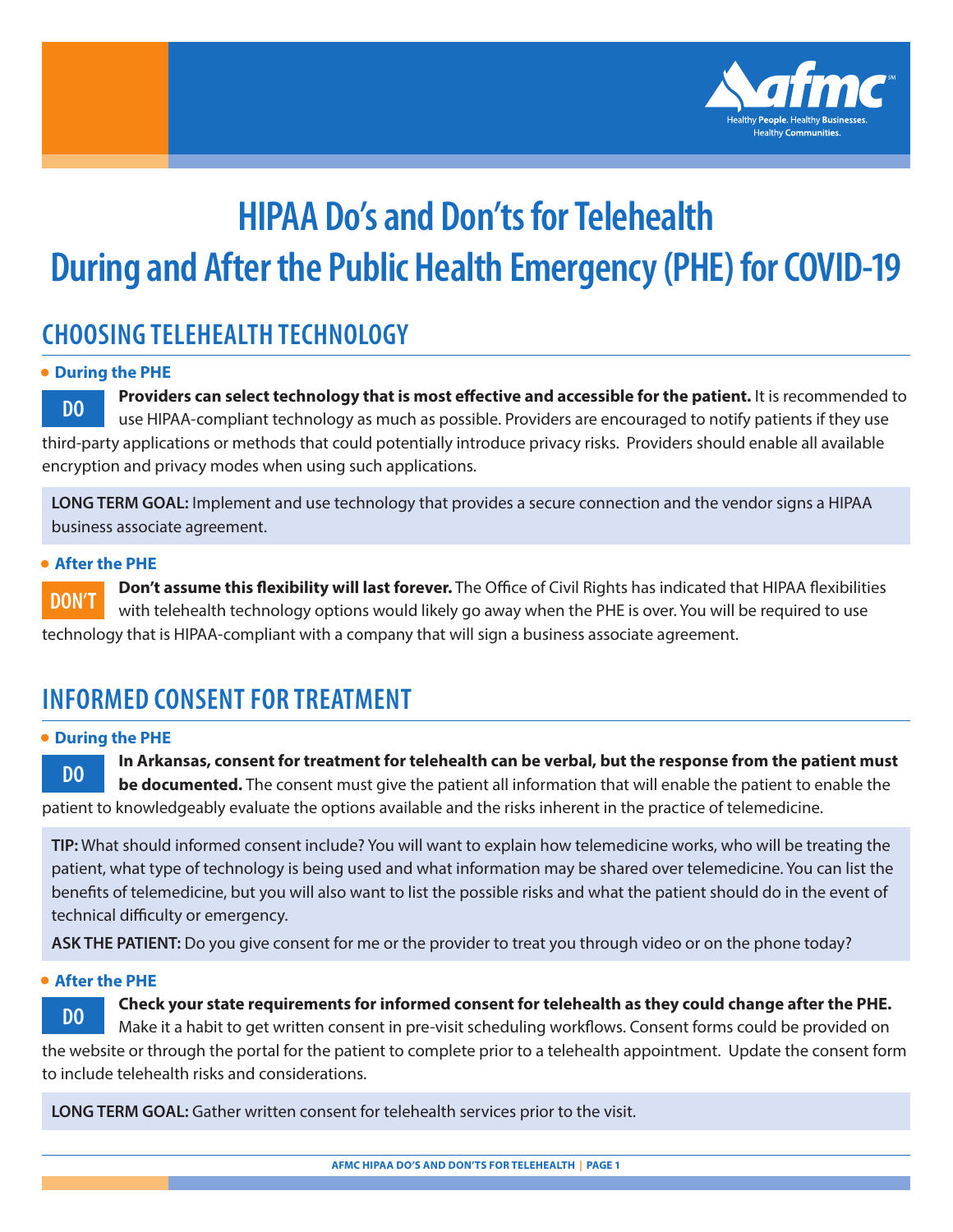

# **HIPAA Do's and Don'ts for Telehealth During and After the Public Health Emergency (PHE) for COVID-19**

# **CHOOSING TELEHEALTH TECHNOLOGY**

#### **• During the PHE**

**Providers can select technology that is most effective and accessible for the patient.** It is recommended to use HIPAA-compliant technology as much as possible. Providers are encouraged to notify patients if they use third-party applications or methods that could potentially introduce privacy risks. Providers should enable all available encryption and privacy modes when using such applications. **DO**

**LONG TERM GOAL:** Implement and use technology that provides a secure connection and the vendor signs a HIPAA business associate agreement.

#### **• After the PHE**

**Don't assume this flexibility will last forever.** The Office of Civil Rights has indicated that HIPAA flexibilities with telehealth technology options would likely go away when the PHE is over. You will be required to use technology that is HIPAA-compliant with a company that will sign a business associate agreement. **DON'T**

### **INFORMED CONSENT FOR TREATMENT**

#### **• During the PHE**

**In Arkansas, consent for treatment for telehealth can be verbal, but the response from the patient must be documented.** The consent must give the patient all information that will enable the patient to enable the patient to knowledgeably evaluate the options available and the risks inherent in the practice of telemedicine. **DO**

**TIP:** What should informed consent include? You will want to explain how telemedicine works, who will be treating the patient, what type of technology is being used and what information may be shared over telemedicine. You can list the benefits of telemedicine, but you will also want to list the possible risks and what the patient should do in the event of technical difficulty or emergency.

**ASK THE PATIENT:** Do you give consent for me or the provider to treat you through video or on the phone today?

#### **• After the PHE**

#### **Check your state requirements for informed consent for telehealth as they could change after the PHE.**

Make it a habit to get written consent in pre-visit scheduling workflows. Consent forms could be provided on the website or through the portal for the patient to complete prior to a telehealth appointment. Update the consent form to include telehealth risks and considerations. **DO**

**LONG TERM GOAL:** Gather written consent for telehealth services prior to the visit.

**AFMC HIPAA DO'S AND DON'TS FOR TELEHEALTH | PAGE 1**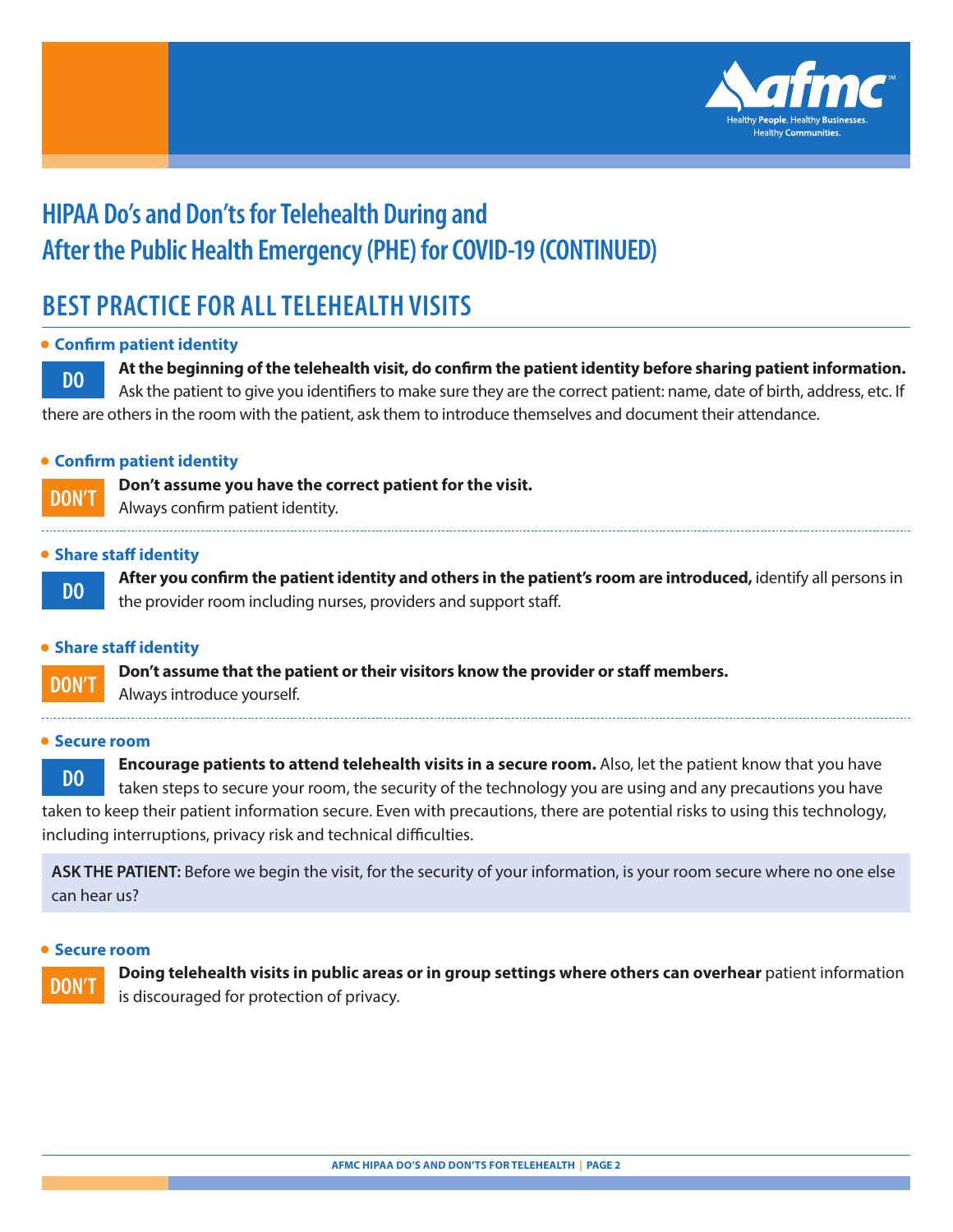

# **HIPAA Do's and Don'ts for Telehealth During and After the Public Health Emergency (PHE) for COVID-19 (CONTINUED)**

### **BEST PRACTICE FOR ALL TELEHEALTH VISITS**

#### **• Confirm patient identity**

**At the beginning of the telehealth visit, do confirm the patient identity before sharing patient information.** 

Ask the patient to give you identifiers to make sure they are the correct patient: name, date of birth, address, etc. If there are others in the room with the patient, ask them to introduce themselves and document their attendance. **DO**

#### **• Confirm patient identity**

**Don't assume you have the correct patient for the visit.**

Always confirm patient identity.

#### **• Share staff identity**

**DO**

**DON'T**

**After you confirm the patient identity and others in the patient's room are introduced,** identify all persons in the provider room including nurses, providers and support staff.

#### **• Share staff identity**

**Don't assume that the patient or their visitors know the provider or staff members.**  Always introduce yourself.

#### **• Secure room**

**DO**

**DON'T**

**Encourage patients to attend telehealth visits in a secure room.** Also, let the patient know that you have taken steps to secure your room, the security of the technology you are using and any precautions you have taken to keep their patient information secure. Even with precautions, there are potential risks to using this technology, including interruptions, privacy risk and technical difficulties.

**ASK THE PATIENT:** Before we begin the visit, for the security of your information, is your room secure where no one else can hear us?

#### **• Secure room**



**Doing telehealth visits in public areas or in group settings where others can overhear** patient information is discouraged for protection of privacy.